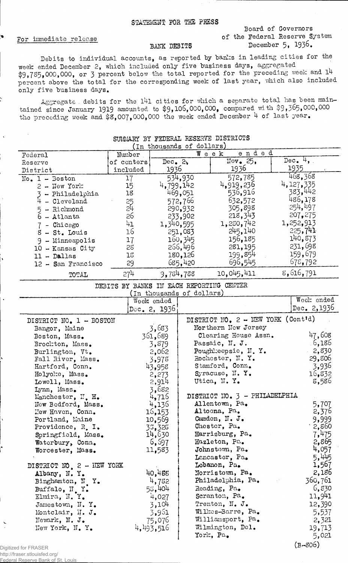For immediate release

## Board of Governors of the Federal Reserve System December 5, 1936.

## BANK DEBITS

Debits to individual accounts, as reported by banks in leading cities for the week ended December 2, which included only five business days, aggregated \$9,735,000,000, or 3 percent below the total reported for the preceding week and 14 percent above the total for the corresponding week of last year, which also included only five business days.

Aggregate . debits for the l'41 cities for which a separate total has been maintained since January 1919 amounted to  $$9,106,000,000$ , compared with  $$9,365,000,000$ the preceding week and  $$8,007,000,000$  the week ended December 4 of last year.

| (In thousands of dollars) |            |               |                            |             |  |
|---------------------------|------------|---------------|----------------------------|-------------|--|
| Federal                   | Number     |               | ended<br>$W$ eek           |             |  |
| Reserve                   | of centers | $Dec_2$ $2$ , | $\texttt{Nov}_\bullet$ 25, | Dec. $4,$ . |  |
| District                  | included   | 1936          | 1936                       | 1935        |  |
| $No. 1 - Boston$          | 17         | 534.930       | 572,785                    | 468,368     |  |
| $2 - New York$            | 15         | 4,799,142     | 4,919,236                  | 4, 127, 335 |  |
| - Philadelphia            | 18         | 469,051       | 536,916                    | 383,442     |  |
| - Cleveland               |            | 572,766       | 632,572                    | 486,178     |  |
| - Richmond                | 25<br>24   | 290,932       | 305,898                    | 254,497     |  |
| 6 - Atlanta               | 26         | 233,902       | 218,343                    | 207,275     |  |
| - Chicago                 | 41         | 1,340,595     | 1,250,742                  | 1,252,913   |  |
| - St. Louis               | 16         | 251,083       | 245,140                    | 225,741     |  |
| - Minneapolis             | 17         | 160,345       | 156,185                    | 140,873     |  |
| 10 - Kansas City          | 28         | 266,496       | 281,195                    | 231,698     |  |
| 11 - Dallas               | 15         | 180,126       | 199,854                    | 159,679     |  |
| 12 - San Francisco        | 29         | 685,420       | 696,545                    | 675,792     |  |
| TOTAL                     | 274        | 9,784,788     | 10,045,411                 | 8,616,791   |  |

## SUMMARY BY FEDERAL BESERVE DISTRICTS

DEBITS BY BANKS IN EACH REPORTING CENTER (In thousands of dollars)

|                                         | (in thousands of dollars) |                                             |               |
|-----------------------------------------|---------------------------|---------------------------------------------|---------------|
|                                         | Week ended                |                                             | Week ended    |
|                                         | Dec. 2, 1936              |                                             | Dec. $2,1936$ |
| DISTRICT NO. 1 - BOSTON                 |                           | DISTRICT NO. $2 - \text{NEW YORK}$ (Cont'd) |               |
| Bangor, Maine                           | 3,683                     | Northern New Jersey                         |               |
| Boston, Mass.                           | 361,689                   | Clearing House Assn.                        | 47,608        |
| Brockton, Mass.                         | 3,879                     | Passaic, N. J.                              | .6,186        |
| Burlington, Vt.                         | 2,062                     | Poughkeepsie, N.Y.                          | $-2,830$      |
| Fall River, Mass.                       | 3,978                     | Rochester, N.Y.                             | 29,806        |
| Hartford, Conn.                         | 43,958                    | Stamford, Conn.                             | 3,936         |
| Holyoke, Mass.                          | 2,273                     | Syracuse, N.Y.                              | 16,832        |
| Lowell, Mass.                           | 2,914                     | Utica, N.Y.                                 | 8,586         |
| Lynn, Mass.                             | 3,682                     |                                             |               |
| Manchester, N. H.                       | 4,715                     | DISTRICT NO. 3 - PHILADELPHIA               |               |
| New Bedford, Mass.                      | 4,136                     | Allentown, Pa.                              | 5,707         |
| Hew Haven, Conn.                        | 16,153                    | Altoona, Pa.                                | 2,376         |
| Portland, Maine                         | 10,569                    | Camden, N. J.                               | 9,999         |
| Providence, R. I.                       | 33,326                    | Chester, Pa.                                | 2,860         |
| Springfield, Mass.                      | 14,630                    | Harrisburg, Pa.                             | 7,475         |
| Waterbury, Conn.                        | 6,597                     | Hazleton, Pa.                               | 2,865         |
| Worcester, Mass.                        | 11,583                    | Johnstown, Pa.                              | 4,057         |
|                                         |                           | Lancaster, Pa.                              | 5,445         |
| DISTRICT NO 2 - HEW YORK                |                           | Lobanon, Pa.                                | 1,567         |
| Albany, N.Y.                            | 40,455                    | Norristown, Pa.                             | 2,186         |
| Binghamton, N Y.                        | 4,782                     | Philadelphia, Pa.                           | 360,761       |
| Buffalo, N.Y.                           | 58,404                    | Reading, Pa.                                | 6,830         |
| Elmira, N.Y.                            | 4,027                     | Scranton, Pa.                               | 11,941        |
| Jamestown, N.Y.                         | 3,104                     | Trenton, N. J.                              | 12,390        |
| Montclair, $\mathbb{I}$ . $J_{\bullet}$ | 3,961                     | Willtes-Barre, Pa.                          | 5,537         |
| Newark, N. J.                           | 75,076                    | Williamsport, Pa.                           | 2,321         |
| New York, N.Y.                          | 4,493,516                 | Wilmington, Del.                            | 19,713        |
|                                         |                           | York, Pa.                                   | 5,021         |
| $for$ $ED$ $A$ $C$ $ED$                 |                           |                                             | $(B - 806)$   |

Digitized for FRASER http://fraser.stlouisfed.org/<br><u>Federal Reserve Bank of</u> St Federal Reserve Bank of St. Louis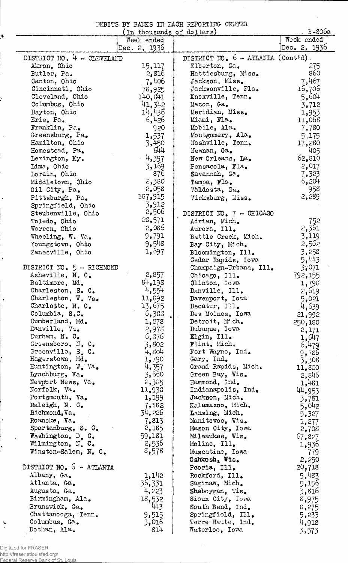|  |  | DEBITS BY BANKS IN EACH REPORTING CENTER |  |
|--|--|------------------------------------------|--|
|  |  |                                          |  |

| $E-806a$<br>In thousands of dollars) |                       |                                        |                |  |  |
|--------------------------------------|-----------------------|----------------------------------------|----------------|--|--|
|                                      | Week ended            |                                        | Week ended     |  |  |
|                                      | Dec. 2, $1936$        |                                        | Dec. 2, 1936   |  |  |
| DISTRICT NO. 4 - CLEVELAND           |                       | DISTRICT NO. $6 - ATLANTA (Cont'd)$ .  |                |  |  |
| Akron, Ohio                          | 15,117                | Elberton, Ga.                          | 275            |  |  |
| Butler, Pa.                          | 2,816                 | Hattiesburg, Miss.                     | 860            |  |  |
| Canton, Ohio                         | 7,406                 | Jackson, Miss.                         | 7,467          |  |  |
| Cincinnati, Ohio                     | 78,925                | Jacksonville, Fla.                     | 16,706         |  |  |
| Cleveland, Ohio                      | 140,841               | Knoxville, Tenn.                       | 5,604          |  |  |
| Columbus, Ohio                       | 41,342                | Macon, Ga.                             | 3,712          |  |  |
| Dayton, Ohio                         | 14,436                | Meridian, Miss.                        | 1,953          |  |  |
| Erie, Pa.                            | 6,426                 | Miami, Fla.                            | 11,068         |  |  |
| Franklin, Pa.                        | 920                   | Mobile, Ala.                           | 7,780          |  |  |
| Greensburg, Pa.                      | $\frac{1,537}{3,450}$ | Montgomery, Ala.                       | 5,175          |  |  |
| Hamilton, Ohio<br>Homestead, Pa.     | 644                   | Mashville, Tenn.<br>Newnan, Ga.        | 17,280<br>405  |  |  |
| Lexington, Ky.                       | 4,397                 | New Orleans, La.                       | 62,810         |  |  |
| Lima, Ohio                           | 3,169                 | Pensacola, Fla.                        | 2,017          |  |  |
| Lorain, Ohio                         | 876                   | Savannah, Ga.                          | 7,323          |  |  |
| Middletown, Ohio                     | 2,380                 | Tampa, Fla.                            | 6,204          |  |  |
| Oil City, Pa.                        | 2,058                 | Valdosta, Ga.                          | 958            |  |  |
| Pittsburgh, Pa.                      | 187,915               | Vicksburg, Miss.                       | 2,289          |  |  |
| Springfield, Ohio                    | 3,912                 |                                        |                |  |  |
| Steubenville, Ohio                   | 2,506                 | DISTRICT NO. 7 - CHICAGO               |                |  |  |
| Toledo, Ohio                         | 28,571                | Adrian, Mich.                          | 752            |  |  |
| Warren, Ohio                         | 2,085                 | Aurora, Ill.                           | 2,361          |  |  |
| Wheeling, W. Va.                     | 9,791                 | Battle Creek, Mich.                    | 3,119          |  |  |
| Youngstown, Ohio                     | 9,548                 | Bay City, Mich.                        | 2,562          |  |  |
| Zanesville, Ohio                     | 1,697                 | Bloomington, Ill.                      | 3,258          |  |  |
|                                      |                       | Cedar Rapids, Iowa                     | 5,443          |  |  |
| DISTRICT NO. 5 - RICHMOND            |                       | Champaign-Urbana, Ill.                 | 3.071          |  |  |
| Asheville, N. C.                     | 2,857                 | Chicago, Ill.                          | 792,155        |  |  |
| Baltimore, Md.                       | 84,195                | Clinton, Iowa                          | 1,798          |  |  |
| Charleston, S. C.                    | 4,554                 | Danville, Ill.                         | 2,619          |  |  |
| Charleston, W. Va.                   | 11,892                | Davenport, Iowa                        | 5,021          |  |  |
| Charlotte, N. C.                     | 13,675                | Decatur, Ill.                          | 4,639          |  |  |
| Columbia, S.C.                       | 6,388                 | Des Moines, Iowa                       | 21,992         |  |  |
| Cumberland, Md.                      | 1,878                 | Detroit, Mich.                         | 250,180        |  |  |
| Danville, Va.                        | 2,978                 | Dubuque, Iowa                          | 2,171          |  |  |
| Durham, N. C.<br>Greensboro, N. C.   | 6,376<br>3,802        | Elgin, Ill.<br>Flint, Mich.            | 1,647          |  |  |
| Greenville, S.C.                     | 4,804                 | Fort Wayne, Ind.                       | 6,479          |  |  |
| Hagerstown, Md.                      | 1,790                 | Gary, Ind.                             | 9,786<br>3,308 |  |  |
| Huntington, W. Va.                   | 4,357                 | Grand Rapids, Mich.                    | 11,830         |  |  |
| Lynchburg, Va.                       | 3,660                 | Green Bay, Wis.                        | 2,846          |  |  |
| Newport News, Va.                    | 2,385                 | Hammond, Ind.                          | 1,481          |  |  |
| Norfolk, Va.                         | 11,936                | Indianapolis, Ind.                     | 44,953         |  |  |
| Portsmouth, Va.                      | 1,199                 | Jackson, Mich.                         | 3,781          |  |  |
| Raleigh, N. C.                       | 7,182                 | Kalamazoo, Mich.                       | 5,042          |  |  |
| Richmond, Va.                        | 34,226                | Lansing, Mich.                         | 5,327          |  |  |
| Roanoke, Va.                         | 7,813                 | Manitowoc, Wis.                        | 1,277          |  |  |
| Spartanburg, S. C.                   | 2,185                 | Mason City, Iowa                       | 2,708          |  |  |
| Washington, D. C.                    | 59,181                | Milwaukee, Wis.                        | 57,827         |  |  |
| Wilmington, N. C.                    | 2,536                 | Moline, Ill.                           | 1,936          |  |  |
| Winston-Salem, N. C.                 | 8,578                 | Muscatine, Iowa                        | 779            |  |  |
|                                      |                       | Oshkosh, Wis.                          | 2,250          |  |  |
| DISTRICT NO. 5 - ATLANTA             |                       | Peoria, Ill.                           | 20,718         |  |  |
| Albany, Ga.                          | 1,142                 | Rockford, Ill.                         | 5,483          |  |  |
| Atlanta, Ga.                         | 36,331                | Saginaw, Mich.                         | 5,156          |  |  |
| Augusta, Ga.                         | 4,223                 | Sheboygan, Wis.                        | 3,816          |  |  |
| Birmingham, Ala.                     | 18,532                | Sioux City, Iowa                       | 8,975          |  |  |
| Brunswick, Ga.                       | 443                   | South Bend, Ind.                       | 8,275          |  |  |
| Chattanooga, Tenn.<br>Columbus, Ga.  | 9,515                 | Springfield, Ill.<br>Terre Haute, Ind. | 5,233          |  |  |
| Dothan, Ala.                         | 3,016<br>814          | Waterloo, Iowa                         | 4,918          |  |  |
|                                      |                       |                                        | 3,573          |  |  |

 $\hat{\mathcal{A}}$ 

Digitized for FRASER http://fraser.stlouisfed.org/ Federal Reserve Bank of St. Louis

 $\mathbf{r}$  $\hat{\boldsymbol{\beta}}$ 

 $\overline{ }$